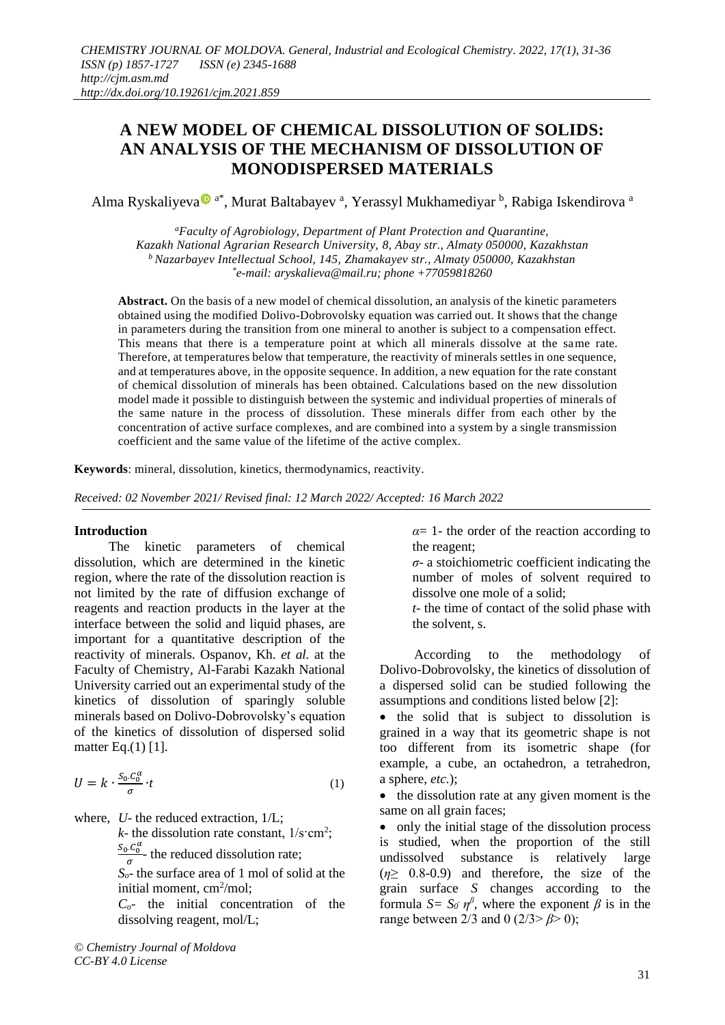# **A NEW MODEL OF CHEMICAL DISSOLUTION OF SOLIDS: AN ANALYSIS OF THE MECHANISM OF DISSOLUTION OF MONODISPERSED MATERIALS**

Alm[a](https://orcid.org/0000-0002-6636-7759) Ryskaliyeva®<sup>a\*</sup>, Murat Baltabayev<sup>a</sup>, Yerassyl Mukhamediyar <sup>b</sup>, Rabiga Iskendirova <sup>a</sup>

*<sup>a</sup>Faculty of Agrobiology, Department of Plant Protection and Quarantine, Kazakh National Agrarian Research University, 8, Abay str., Almaty 050000, Kazakhstan <sup>b</sup>Nazarbayev Intellectual School, 145, Zhamakayev str., Almaty 050000, Kazakhstan \* e-mail: aryskalieva@mail.ru; phone +77059818260*

**Abstract.** On the basis of a new model of chemical dissolution, an analysis of the kinetic parameters obtained using the modified Dolivo-Dobrovolsky equation was carried out. It shows that the change in parameters during the transition from one mineral to another is subject to a compensation effect. This means that there is a temperature point at which all minerals dissolve at the same rate. Therefore, at temperatures below that temperature, the reactivity of minerals settles in one sequence, and at temperatures above, in the opposite sequence. In addition, a new equation for the rate constant of chemical dissolution of minerals has been obtained. Calculations based on the new dissolution model made it possible to distinguish between the systemic and individual properties of minerals of the same nature in the process of dissolution. These minerals differ from each other by the concentration of active surface complexes, and are combined into a system by a single transmission coefficient and the same value of the lifetime of the active complex.

**Keywords**: mineral, dissolution, kinetics, thermodynamics, reactivity.

*Received: 02 November 2021/ Revised final: 12 March 2022/ Accepted: 16 March 2022*

## **Introduction**

The kinetic parameters of chemical dissolution, which are determined in the kinetic region, where the rate of the dissolution reaction is not limited by the rate of diffusion exchange of reagents and reaction products in the layer at the interface between the solid and liquid phases, are important for a quantitative description of the reactivity of minerals. Ospanov, Kh. *et al.* at the Faculty of Chemistry, Al-Farabi Kazakh National University carried out an experimental study of the kinetics of dissolution of sparingly soluble minerals based on Dolivo-Dobrovolsky's equation of the kinetics of dissolution of dispersed solid matter Eq.(1) [1].

$$
U = k \cdot \frac{S_0 \cdot C_0^{\alpha}}{\sigma} \cdot t \tag{1}
$$

where, *U*- the reduced extraction,  $1/L$ ;

 $k$ - the dissolution rate constant,  $1/\text{s}\text{cm}^2$ ;

 $\frac{S_0.C_0^{\alpha}}{2}$ - the reduced dissolution rate;

 $S<sub>o</sub>$ - the surface area of 1 mol of solid at the initial moment, cm<sup>2</sup>/mol;

*Co*- the initial concentration of the dissolving reagent, mol/L;

*© Chemistry Journal of Moldova CC-BY 4.0 License*

*α*= 1- the order of the reaction according to the reagent;

*σ*- a stoichiometric coefficient indicating the number of moles of solvent required to dissolve one mole of a solid;

*t*- the time of contact of the solid phase with the solvent, s.

According to the methodology of Dolivo-Dobrovolsky, the kinetics of dissolution of a dispersed solid can be studied following the assumptions and conditions listed below [2]:

• the solid that is subject to dissolution is grained in a way that its geometric shape is not too different from its isometric shape (for example, a cube, an octahedron, a tetrahedron, a sphere, *etc.*);

• the dissolution rate at any given moment is the same on all grain faces;

• only the initial stage of the dissolution process is studied, when the proportion of the still undissolved substance is relatively large (*η*≥ 0.8-0.9) and therefore, the size of the grain surface *S* changes according to the formula *S*=  $S_0$   $\eta^{\beta}$ , where the exponent  $\beta$  is in the range between 2/3 and 0 (2/3˃ *β*˃ 0);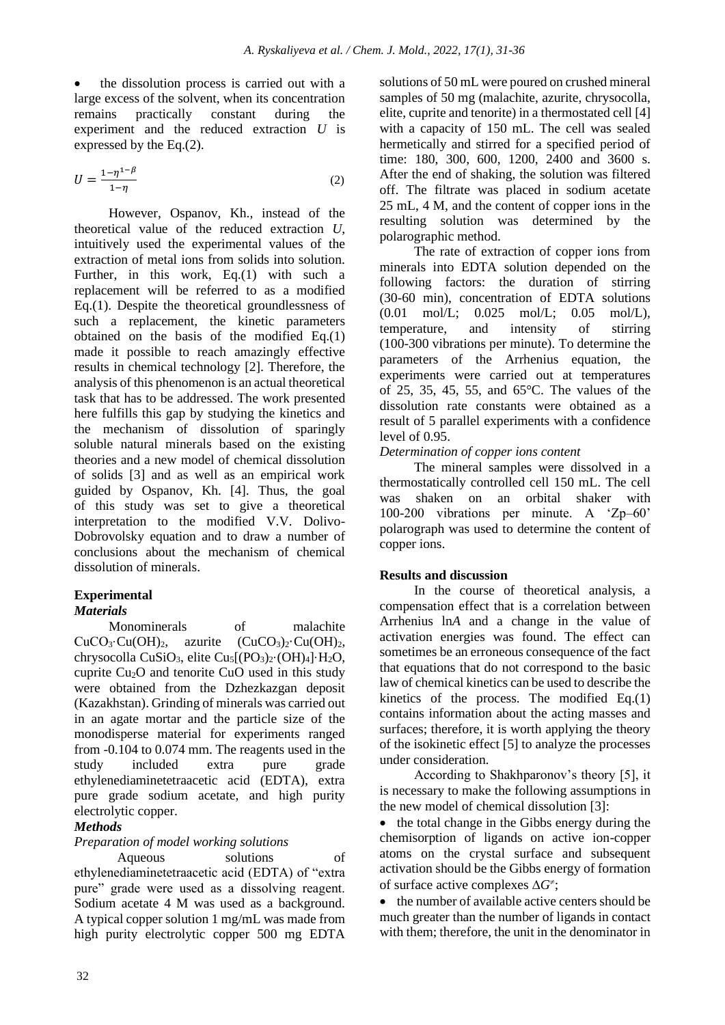the dissolution process is carried out with a large excess of the solvent, when its concentration remains practically constant during the experiment and the reduced extraction *U* is expressed by the Eq.(2).

$$
U = \frac{1 - \eta^{1 - \beta}}{1 - \eta} \tag{2}
$$

However, Ospanov, Kh., instead of the theoretical value of the reduced extraction *U*, intuitively used the experimental values of the extraction of metal ions from solids into solution. Further, in this work, Eq.(1) with such a replacement will be referred to as a modified Eq.(1). Despite the theoretical groundlessness of such a replacement, the kinetic parameters obtained on the basis of the modified Eq.(1) made it possible to reach amazingly effective results in chemical technology [2]. Therefore, the analysis of this phenomenon is an actual theoretical task that has to be addressed. The work presented here fulfills this gap by studying the kinetics and the mechanism of dissolution of sparingly soluble natural minerals based on the existing theories and a new model of chemical dissolution of solids [3] and as well as an empirical work guided by Ospanov, Kh. [4]. Thus, the goal of this study was set to give a theoretical interpretation to the modified V.V. Dolivo-Dobrovolsky equation and to draw a number of conclusions about the mechanism of chemical dissolution of minerals.

## **Experimental** *Materials*

Monominerals of malachite  $CuCO<sub>3</sub>·Cu(OH)<sub>2</sub>$ , azurite  $(CuCO<sub>3</sub>)<sub>2</sub>·Cu(OH)<sub>2</sub>$ , chrysocolla CuSiO3, elite Cu5[(PO3)2·(OH)4]·H2O, cuprite Cu2O and tenorite CuO used in this study were obtained from the Dzhezkazgan deposit (Kazakhstan). Grinding of minerals was carried out in an agate mortar and the particle size of the monodisperse material for experiments ranged from -0.104 to 0.074 mm. The reagents used in the study included extra pure grade ethylenediaminetetraacetic acid (EDTA), extra pure grade sodium acetate, and high purity electrolytic copper.

# *Methods*

# *Preparation of model working solutions*

Aqueous solutions of ethylenediaminetetraacetic acid (EDTA) of "extra pure" grade were used as a dissolving reagent. Sodium acetate 4 M was used as a background. A typical copper solution 1 mg/mL was made from high purity electrolytic copper 500 mg EDTA solutions of 50 mL were poured on crushed mineral samples of 50 mg (malachite, azurite, chrysocolla, elite, cuprite and tenorite) in a thermostated cell [4] with a capacity of 150 mL. The cell was sealed hermetically and stirred for a specified period of time: 180, 300, 600, 1200, 2400 and 3600 s. After the end of shaking, the solution was filtered off. The filtrate was placed in sodium acetate 25 mL, 4 M, and the content of copper ions in the resulting solution was determined by the polarographic method.

The rate of extraction of copper ions from minerals into EDTA solution depended on the following factors: the duration of stirring (30-60 min), concentration of EDTA solutions (0.01 mol/L; 0.025 mol/L; 0.05 mol/L), temperature, and intensity of stirring (100-300 vibrations per minute). To determine the parameters of the Arrhenius equation, the experiments were carried out at temperatures of 25, 35, 45, 55, and 65°C. The values of the dissolution rate constants were obtained as a result of 5 parallel experiments with a confidence level of 0.95.

## *Determination of copper ions content*

The mineral samples were dissolved in a thermostatically controlled cell 150 mL. The cell was shaken on an orbital shaker with 100-200 vibrations per minute. A 'Zp–60' polarograph was used to determine the content of copper ions.

## **Results and discussion**

In the course of theoretical analysis, a compensation effect that is a correlation between Arrhenius ln*A* and a change in the value of activation energies was found. The effect can sometimes be an erroneous consequence of the fact that equations that do not correspond to the basic law of chemical kinetics can be used to describe the kinetics of the process. The modified Eq.(1) contains information about the acting masses and surfaces; therefore, it is worth applying the theory of the isokinetic effect [5] to analyze the processes under consideration.

According to Shakhparonov's theory [5], it is necessary to make the following assumptions in the new model of chemical dissolution [3]:

• the total change in the Gibbs energy during the chemisorption of ligands on active ion-copper atoms on the crystal surface and subsequent activation should be the Gibbs energy of formation of surface active complexes  $\Delta G^{\neq}$ ;

• the number of available active centers should be much greater than the number of ligands in contact with them; therefore, the unit in the denominator in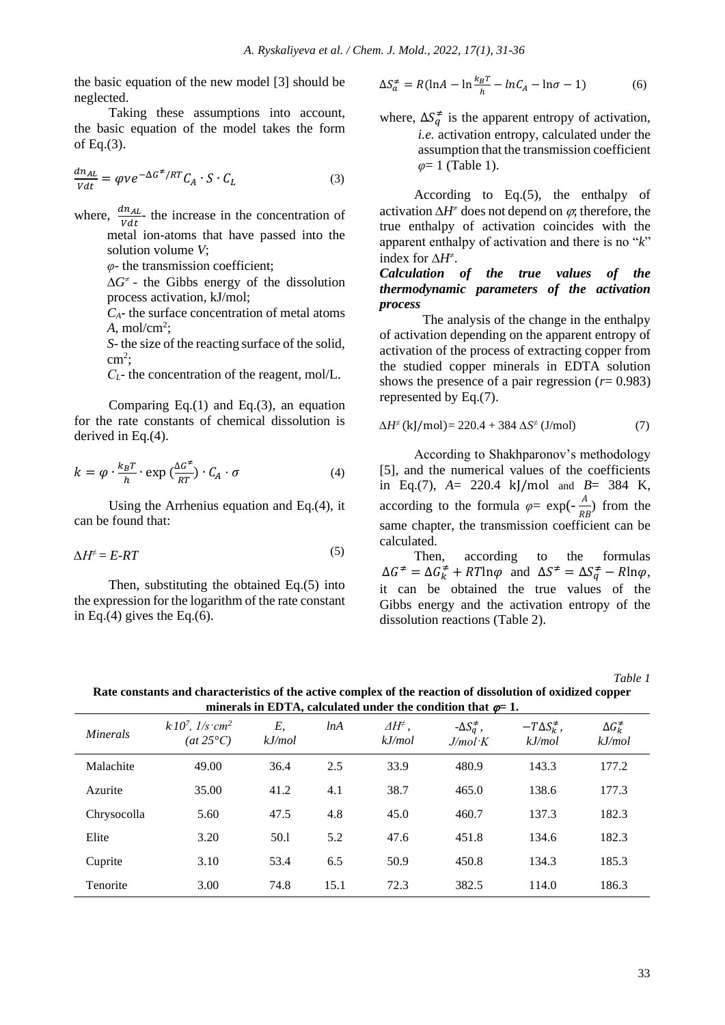the basic equation of the new model [3] should be neglected.

Taking these assumptions into account, the basic equation of the model takes the form of Eq.(3).

$$
\frac{dn_{AL}}{Vdt} = \varphi v e^{-\Delta G^{\neq}/RT} C_A \cdot S \cdot C_L \tag{3}
$$

where,  $\frac{dn_{AL}}{Vdt}$  the increase in the concentration of metal ion-atoms that have passed into the solution volume *V*;

*φ*- the transmission coefficient;

 $\Delta G^{\neq}$  - the Gibbs energy of the dissolution process activation, kJ/mol;

*CA*- the surface concentration of metal atoms  $A$ , mol/cm<sup>2</sup>;

*S*- the size of the reacting surface of the solid,  $\text{cm}^2$ ;

*СL*- the concentration of the reagent, mol/L.

Comparing Eq.(1) and Eq.(3), an equation for the rate constants of chemical dissolution is derived in Eq.(4).

$$
k = \varphi \cdot \frac{k_B T}{h} \cdot \exp\left(\frac{\Delta G^2}{RT}\right) \cdot C_A \cdot \sigma \tag{4}
$$

Using the Arrhenius equation and Eq.(4), it can be found that:

$$
\Delta H^{\neq} = E \cdot RT \tag{5}
$$

Then, substituting the obtained Eq.(5) into the expression for the logarithm of the rate constant in Eq. $(4)$  gives the Eq. $(6)$ .

$$
\Delta S_a^{\neq} = R(\ln A - \ln \frac{k_B T}{h} - \ln C_A - \ln \sigma - 1) \tag{6}
$$

where,  $\Delta S_q^{\neq}$  is the apparent entropy of activation, *i.e.* activation entropy, calculated under the assumption that the transmission coefficient *φ*= 1 (Table 1).

According to Eq.(5), the enthalpy of activation  $\Delta H^*$  does not depend on  $\varphi$ , therefore, the true enthalpy of activation coincides with the apparent enthalpy of activation and there is no "*k*" index for  $\Delta H^{\neq}$ .

*Calculation of the true values of the thermodynamic parameters of the activation process*

The analysis of the change in the enthalpy of activation depending on the apparent entropy of activation of the process of extracting copper from the studied copper minerals in EDTA solution shows the presence of a pair regression (*r*= 0.983) represented by Eq.(7).

$$
\Delta H^{\neq} \text{ (kj/mol)} = 220.4 + 384 \, \Delta S^{\neq} \text{ (J/mol)} \tag{7}
$$

According to Shakhparonov's methodology [5], and the numerical values of the coefficients in Eq.(7), *A*= 220.4 kJ/mol and *B*= 384 K, according to the formula  $\varphi = \exp(-\frac{A}{R})$  $\frac{A}{RB}$ ) from the same chapter, the transmission coefficient can be calculated.

Then, according to the formulas  $\Delta G^{\neq} = \Delta G^{\neq}_k + RT \ln \varphi$  and  $\Delta S^{\neq} = \Delta S^{\neq}_q - R \ln \varphi$ , it can be obtained the true values of the Gibbs energy and the activation entropy of the dissolution reactions (Table 2).

*Table 1* 

| minerals in EDTA, calculated under the condition that $\varphi = 1$ . |                                                        |              |      |                                            |                                       |                                   |                               |
|-----------------------------------------------------------------------|--------------------------------------------------------|--------------|------|--------------------------------------------|---------------------------------------|-----------------------------------|-------------------------------|
| <i>Minerals</i>                                                       | $k10^7$ , $1/s$ cm <sup>2</sup><br>(at $25^{\circ}C$ ) | Ε,<br>kJ/mol | lnA  | $\varDelta H^{\neq}$ ,<br>$k$ <i>J/mol</i> | $-\Delta S_a^{\neq}$ ,<br>$J/mol$ $K$ | $-T\Delta S_k^{\neq}$ ,<br>kJ/mol | $\Delta G_k^{\neq}$<br>kJ/mol |
| Malachite                                                             | 49.00                                                  | 36.4         | 2.5  | 33.9                                       | 480.9                                 | 143.3                             | 177.2                         |
| Azurite                                                               | 35.00                                                  | 41.2         | 4.1  | 38.7                                       | 465.0                                 | 138.6                             | 177.3                         |
| Chrysocolla                                                           | 5.60                                                   | 47.5         | 4.8  | 45.0                                       | 460.7                                 | 137.3                             | 182.3                         |
| Elite                                                                 | 3.20                                                   | 50.1         | 5.2  | 47.6                                       | 451.8                                 | 134.6                             | 182.3                         |
| Cuprite                                                               | 3.10                                                   | 53.4         | 6.5  | 50.9                                       | 450.8                                 | 134.3                             | 185.3                         |
| Tenorite                                                              | 3.00                                                   | 74.8         | 15.1 | 72.3                                       | 382.5                                 | 114.0                             | 186.3                         |

**Rate constants and characteristics of the active complex of the reaction of dissolution of oxidized copper**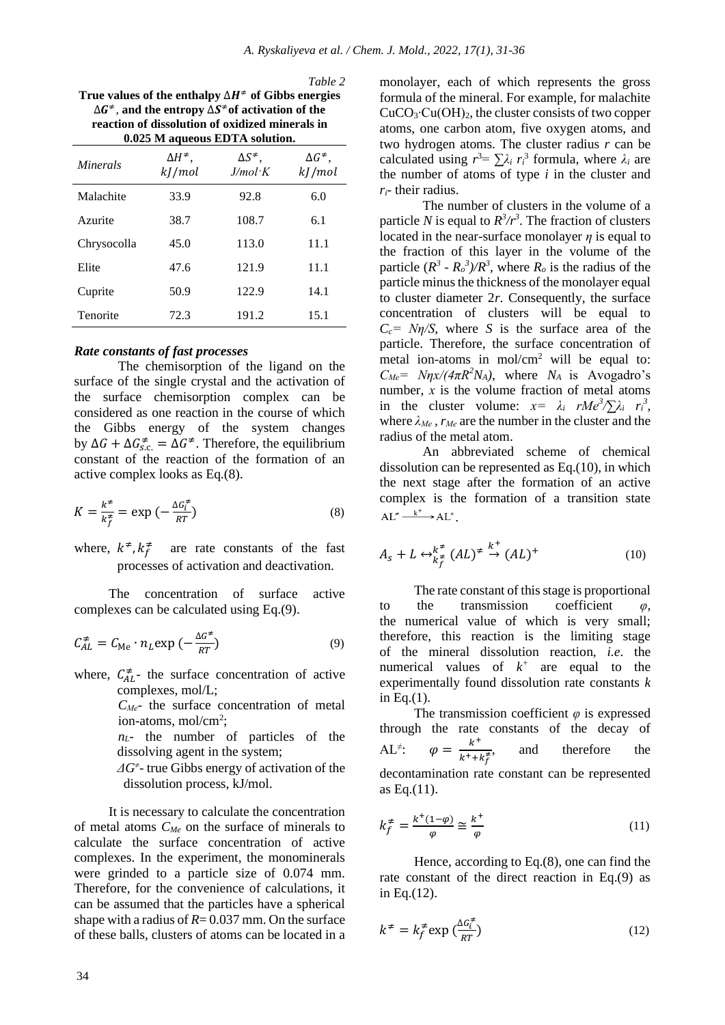*Table 2* 

**True values of the enthalpy** ∆<sup>≠</sup> **of Gibbs energies**  ∆ <sup>≠</sup>, **and the entropy** ∆ <sup>≠</sup>**of activation of the reaction of dissolution of oxidized minerals in 0.025 M aqueous EDTA solution.**

| 0.025 M aqueous EDTA solution. |                                 |                                  |                                |  |  |  |
|--------------------------------|---------------------------------|----------------------------------|--------------------------------|--|--|--|
| Minerals                       | $\Delta H^{\neq}$ ,<br>kJ / mol | ΔS <sup>≠</sup> ,<br>$J/mol$ $K$ | $\Delta G^{\neq},$<br>kJ / mol |  |  |  |
| Malachite                      | 33.9                            | 92.8                             | 6.0                            |  |  |  |
| Azurite                        | 38.7                            | 108.7                            | 6.1                            |  |  |  |
| Chrysocolla                    | 45.0                            | 113.0                            | 11.1                           |  |  |  |
| Elite                          | 47.6                            | 121.9                            | 11.1                           |  |  |  |
| Cuprite                        | 50.9                            | 122.9                            | 14.1                           |  |  |  |
| Tenorite                       | 72.3                            | 191.2                            | 15.1                           |  |  |  |

### *Rate constants of fast processes*

The chemisorption of the ligand on the surface of the single crystal and the activation of the surface chemisorption complex can be considered as one reaction in the course of which the Gibbs energy of the system changes by  $\Delta G + \Delta G_{s.c.}^{\neq} = \Delta G^{\neq}$ . Therefore, the equilibrium constant of the reaction of the formation of an active complex looks as Eq.(8).

$$
K = \frac{k^*}{k_f^*} = \exp\left(-\frac{\Delta G_i^*}{RT}\right) \tag{8}
$$

where,  $k^{\neq}$ ,  $k_f^{\neq}$  are rate constants of the fast processes of activation and deactivation.

The concentration of surface active complexes can be calculated using Eq.(9).

$$
C_{AL}^{\neq} = C_{\text{Me}} \cdot n_L \exp\left(-\frac{\Delta G^{\neq}}{RT}\right) \tag{9}
$$

where,  $C_{AL}^{\neq}$  the surface concentration of active complexes, mol/L;

> *CМе*- the surface concentration of metal ion-atoms, mol/cm<sup>2</sup>;

*nL*- the number of particles of the dissolving agent in the system;

 $\Delta G$ <sup>≠</sup>- true Gibbs energy of activation of the dissolution process, kJ/mol.

It is necessary to calculate the concentration of metal atoms *CMe* on the surface of minerals to calculate the surface concentration of active complexes. In the experiment, the monominerals were grinded to a particle size of 0.074 mm. Therefore, for the convenience of calculations, it can be assumed that the particles have a spherical shape with a radius of  $R = 0.037$  mm. On the surface of these balls, clusters of atoms can be located in a

monolayer, each of which represents the gross formula of the mineral. For example, for malachite CuCO3∙Cu(OH)2, the cluster consists of two copper atoms, one carbon atom, five oxygen atoms, and two hydrogen atoms. The cluster radius *r* can be calculated using  $r^3 = \sum \lambda_i r_i^3$  formula, where  $\lambda_i$  are the number of atoms of type *i* in the cluster and *ri*- their radius.

The number of clusters in the volume of a particle *N* is equal to  $R^3/r^3$ . The fraction of clusters located in the near-surface monolayer  $\eta$  is equal to the fraction of this layer in the volume of the particle  $(R^3 \cdot R_o^3)/R^3$ , where  $R_o$  is the radius of the particle minus the thickness of the monolayer equal to cluster diameter 2*r*. Consequently, the surface concentration of clusters will be equal to  $C_c = N\eta/S$ , where *S* is the surface area of the particle. Therefore, the surface concentration of metal ion-atoms in mol/cm<sup>2</sup> will be equal to:  $C_{Me} = N\eta x/(4\pi R^2 N_A)$ , where  $N_A$  is Avogadro's number, *х* is the volume fraction of metal atoms in the cluster volume:  $x = \lambda_i rMe^3/\sum \lambda_i r_i^3$ , where  $\lambda_{Me}$ ,  $r_{Me}$  are the number in the cluster and the radius of the metal atom.

An abbreviated scheme of chemical dissolution can be represented as Eq.(10), in which the next stage after the formation of an active complex is the formation of a transition state  $AL^* \xrightarrow{k^+} AL^+$ 

$$
A_s + L \leftrightarrow_{k_f^{\neq}}^{k^{\neq}} (AL)^{\neq} \stackrel{k^+}{\rightarrow} (AL)^{+}
$$
 (10)

The rate constant of this stage is proportional to the transmission coefficient *φ*, the numerical value of which is very small; therefore, this reaction is the limiting stage of the mineral dissolution reaction, *i.e*. the numerical values of  $k^+$  are equal to the experimentally found dissolution rate constants *k* in Eq.(1).

The transmission coefficient *φ* is expressed through the rate constants of the decay of  $AL^{\neq}$  $\varphi = \frac{k^+}{k^+}$  $k^+$ + $k_f^*$ and therefore the decontamination rate constant can be represented as Eq.(11).

$$
k_f^{\neq} = \frac{k^+(1-\varphi)}{\varphi} \cong \frac{k^+}{\varphi} \tag{11}
$$

Hence, according to Eq.(8), one can find the rate constant of the direct reaction in Eq.(9) as in Eq.(12).

$$
k^{\neq} = k_f^{\neq} \exp\left(\frac{\Delta G_i^{\neq}}{RT}\right) \tag{12}
$$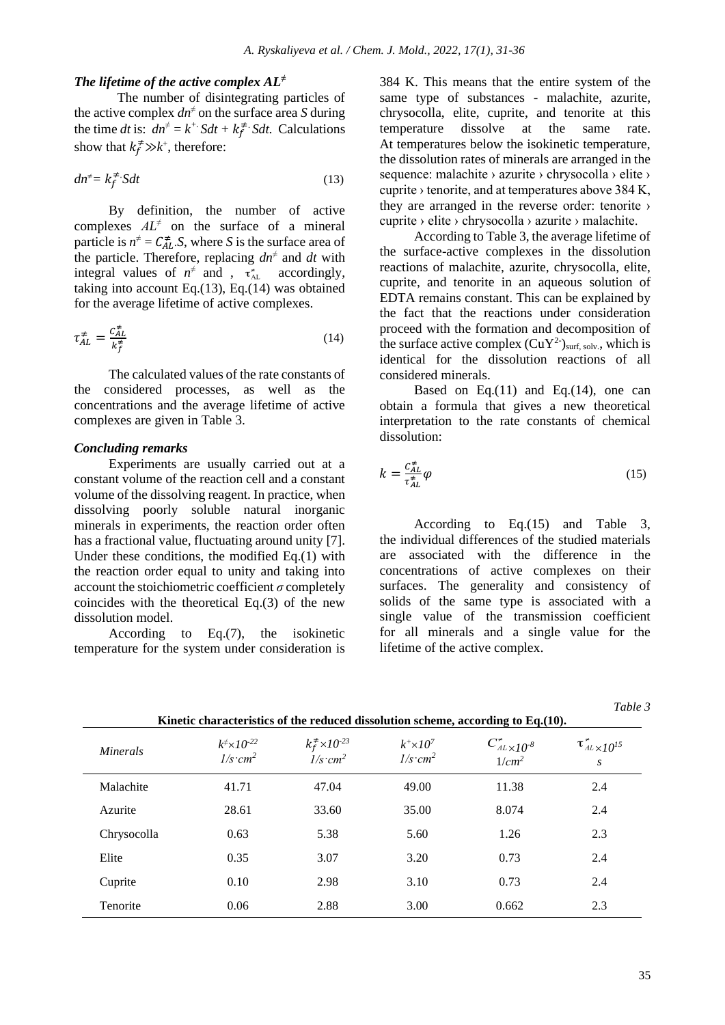#### *The lifetime of the active complex AL<sup>≠</sup>*

The number of disintegrating particles of the active complex *dn<sup>≠</sup>* on the surface area *S* during the time *dt* is:  $dn^{\neq} = k^+$ .  $Sdt + k_f^{\neq}$ . *Sdt.* Calculations show that  $k_f^* \gg k^+$ , therefore:

$$
dn^{\neq} = k_f^{\neq} S dt \tag{13}
$$

By definition, the number of active complexes  $AL^{\neq}$  on the surface of a mineral particle is  $n^{\neq} = C_{AL}^{\neq}$ . S, where *S* is the surface area of the particle. Therefore, replacing  $dn^{\neq}$  and  $dt$  with integral values of  $n^{\neq}$  and ,  $\tau_{AL}^{*}$  accordingly, taking into account Eq.(13), Eq.(14) was obtained for the average lifetime of active complexes.

$$
\tau_{AL}^{\neq} = \frac{c_{AL}^{\neq}}{k_f^{\neq}}\tag{14}
$$

The calculated values of the rate constants of the considered processes, as well as the concentrations and the average lifetime of active complexes are given in Table 3.

### *Concluding remarks*

Experiments are usually carried out at a constant volume of the reaction cell and a constant volume of the dissolving reagent. In practice, when dissolving poorly soluble natural inorganic minerals in experiments, the reaction order often has a fractional value, fluctuating around unity [7]. Under these conditions, the modified Eq.(1) with the reaction order equal to unity and taking into account the stoichiometric coefficient  $\sigma$  completely coincides with the theoretical Eq.(3) of the new dissolution model.

According to Eq.(7), the isokinetic temperature for the system under consideration is 384 K. This means that the entire system of the same type of substances - malachite, azurite, chrysocolla, elite, cuprite, and tenorite at this temperature dissolve at the same rate. At temperatures below the isokinetic temperature, the dissolution rates of minerals are arranged in the sequence: malachite > azurite > chrysocolla > elite > cuprite › tenorite, and at temperatures above 384 K, they are arranged in the reverse order: tenorite › cuprite › elite › chrysocolla › azurite › malachite.

According to Table 3, the average lifetime of the surface-active complexes in the dissolution reactions of malachite, azurite, chrysocolla, elite, cuprite, and tenorite in an aqueous solution of EDTA remains constant. This can be explained by the fact that the reactions under consideration proceed with the formation and decomposition of the surface active complex  $(CuY^2)_{\text{surf, solv.}}$ , which is identical for the dissolution reactions of all considered minerals.

Based on Eq. $(11)$  and Eq. $(14)$ , one can obtain a formula that gives a new theoretical interpretation to the rate constants of chemical dissolution:

$$
k = \frac{c_{AL}^{\neq}}{\tau_{AL}^{\neq}} \varphi \tag{15}
$$

According to Eq.(15) and Table 3, the individual differences of the studied materials are associated with the difference in the concentrations of active complexes on their surfaces. The generality and consistency of solids of the same type is associated with a single value of the transmission coefficient for all minerals and a single value for the lifetime of the active complex.

| Kinetic characteristics of the reduced dissolution scheme, according to $Eq.(10)$ . |                                                        |                                                  |                                       |                                                              |                                           |  |  |
|-------------------------------------------------------------------------------------|--------------------------------------------------------|--------------------------------------------------|---------------------------------------|--------------------------------------------------------------|-------------------------------------------|--|--|
| <i>Minerals</i>                                                                     | $k^{\neq} \times 10^{-22}$<br>$\frac{1}{s \cdot cm^2}$ | $k_f^{\neq} \times 10^{-23}$<br>$1/s \cdot cm^2$ | $k^+ \times 10^7$<br>$1/s \cdot cm^2$ | $C^{\star}_{^{AL}\times10^{\text{-}8}}$<br>1/cm <sup>2</sup> | $\tau^{\star}_{^{AL}\times 10^{15}}$<br>S |  |  |
| Malachite                                                                           | 41.71                                                  | 47.04                                            | 49.00                                 | 11.38                                                        | 2.4                                       |  |  |
| Azurite                                                                             | 28.61                                                  | 33.60                                            | 35.00                                 | 8.074                                                        | 2.4                                       |  |  |
| Chrysocolla                                                                         | 0.63                                                   | 5.38                                             | 5.60                                  | 1.26                                                         | 2.3                                       |  |  |
| Elite                                                                               | 0.35                                                   | 3.07                                             | 3.20                                  | 0.73                                                         | 2.4                                       |  |  |
| Cuprite                                                                             | 0.10                                                   | 2.98                                             | 3.10                                  | 0.73                                                         | 2.4                                       |  |  |
| Tenorite                                                                            | 0.06                                                   | 2.88                                             | 3.00                                  | 0.662                                                        | 2.3                                       |  |  |

*Table 3*